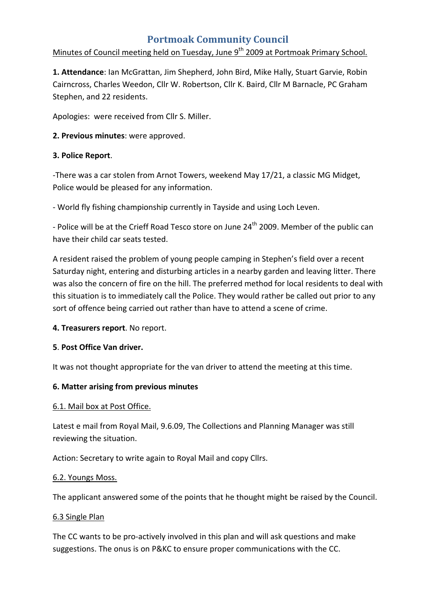# **Portmoak Community Council**

### Minutes of Council meeting held on Tuesday, June 9<sup>th</sup> 2009 at Portmoak Primary School.

**1. Attendance**: Ian McGrattan, Jim Shepherd, John Bird, Mike Hally, Stuart Garvie, Robin Cairncross, Charles Weedon, Cllr W. Robertson, Cllr K. Baird, Cllr M Barnacle, PC Graham Stephen, and 22 residents.

Apologies: were received from Cllr S. Miller.

**2. Previous minutes**: were approved.

### **3. Police Report**.

‐There was a car stolen from Arnot Towers, weekend May 17/21, a classic MG Midget, Police would be pleased for any information.

‐ World fly fishing championship currently in Tayside and using Loch Leven.

- Police will be at the Crieff Road Tesco store on June 24<sup>th</sup> 2009. Member of the public can have their child car seats tested.

A resident raised the problem of young people camping in Stephen's field over a recent Saturday night, entering and disturbing articles in a nearby garden and leaving litter. There was also the concern of fire on the hill. The preferred method for local residents to deal with this situation is to immediately call the Police. They would rather be called out prior to any sort of offence being carried out rather than have to attend a scene of crime.

**4. Treasurers report**. No report.

### **5**. **Post Office Van driver.**

It was not thought appropriate for the van driver to attend the meeting at this time.

### **6. Matter arising from previous minutes**

### 6.1. Mail box at Post Office.

Latest e mail from Royal Mail, 9.6.09, The Collections and Planning Manager was still reviewing the situation.

Action: Secretary to write again to Royal Mail and copy Cllrs.

### 6.2. Youngs Moss.

The applicant answered some of the points that he thought might be raised by the Council.

### 6.3 Single Plan

The CC wants to be pro-actively involved in this plan and will ask questions and make suggestions. The onus is on P&KC to ensure proper communications with the CC.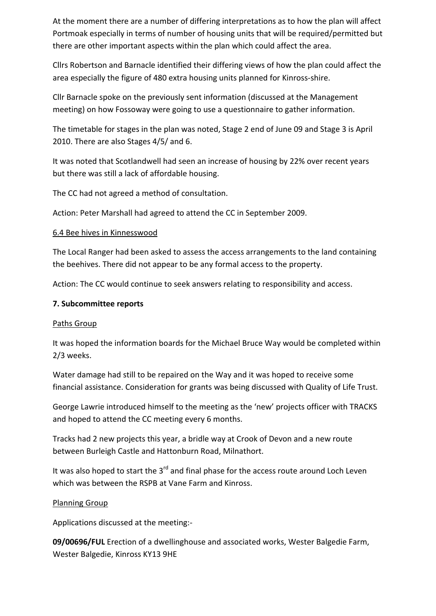At the moment there are a number of differing interpretations as to how the plan will affect Portmoak especially in terms of number of housing units that will be required/permitted but there are other important aspects within the plan which could affect the area.

Cllrs Robertson and Barnacle identified their differing views of how the plan could affect the area especially the figure of 480 extra housing units planned for Kinross‐shire.

Cllr Barnacle spoke on the previously sent information (discussed at the Management meeting) on how Fossoway were going to use a questionnaire to gather information.

The timetable for stages in the plan was noted, Stage 2 end of June 09 and Stage 3 is April 2010. There are also Stages 4/5/ and 6.

It was noted that Scotlandwell had seen an increase of housing by 22% over recent years but there was still a lack of affordable housing.

The CC had not agreed a method of consultation.

Action: Peter Marshall had agreed to attend the CC in September 2009.

### 6.4 Bee hives in Kinnesswood

The Local Ranger had been asked to assess the access arrangements to the land containing the beehives. There did not appear to be any formal access to the property.

Action: The CC would continue to seek answers relating to responsibility and access.

### **7. Subcommittee reports**

### Paths Group

It was hoped the information boards for the Michael Bruce Way would be completed within 2/3 weeks.

Water damage had still to be repaired on the Way and it was hoped to receive some financial assistance. Consideration for grants was being discussed with Quality of Life Trust.

George Lawrie introduced himself to the meeting as the 'new' projects officer with TRACKS and hoped to attend the CC meeting every 6 months.

Tracks had 2 new projects this year, a bridle way at Crook of Devon and a new route between Burleigh Castle and Hattonburn Road, Milnathort.

It was also hoped to start the  $3<sup>rd</sup>$  and final phase for the access route around Loch Leven which was between the RSPB at Vane Farm and Kinross.

### Planning Group

Applications discussed at the meeting:‐

**09/00696/FUL** Erection of a dwellinghouse and associated works, Wester Balgedie Farm, Wester Balgedie, Kinross KY13 9HE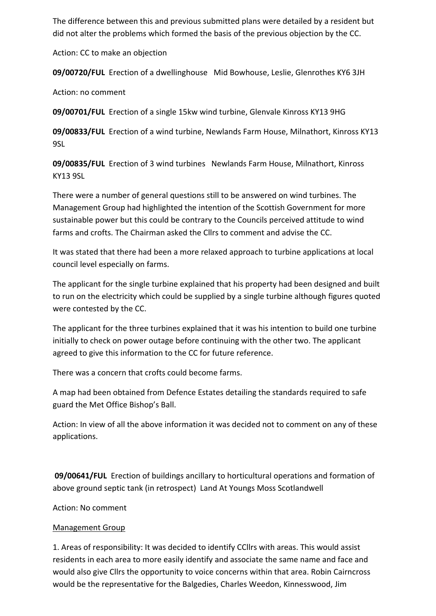The difference between this and previous submitted plans were detailed by a resident but did not alter the problems which formed the basis of the previous objection by the CC.

Action: CC to make an objection

**09/00720/FUL** Erection of a dwellinghouse Mid Bowhouse, Leslie, Glenrothes KY6 3JH

Action: no comment

**09/00701/FUL** Erection of a single 15kw wind turbine, Glenvale Kinross KY13 9HG

09/00833/FUL Erection of a wind turbine, Newlands Farm House, Milnathort, Kinross KY13 9SL

**09/00835/FUL** Erection of 3 wind turbines Newlands Farm House, Milnathort, Kinross KY13 9SL

There were a number of general questions still to be answered on wind turbines. The Management Group had highlighted the intention of the Scottish Government for more sustainable power but this could be contrary to the Councils perceived attitude to wind farms and crofts. The Chairman asked the Cllrs to comment and advise the CC.

It was stated that there had been a more relaxed approach to turbine applications at local council level especially on farms.

The applicant for the single turbine explained that his property had been designed and built to run on the electricity which could be supplied by a single turbine although figures quoted were contested by the CC.

The applicant for the three turbines explained that it was his intention to build one turbine initially to check on power outage before continuing with the other two. The applicant agreed to give this information to the CC for future reference.

There was a concern that crofts could become farms.

A map had been obtained from Defence Estates detailing the standards required to safe guard the Met Office Bishop's Ball.

Action: In view of all the above information it was decided not to comment on any of these applications.

**09/00641/FUL** Erection of buildings ancillary to horticultural operations and formation of above ground septic tank (in retrospect) Land At Youngs Moss Scotlandwell

Action: No comment

### Management Group

1. Areas of responsibility: It was decided to identify CCllrs with areas. This would assist residents in each area to more easily identify and associate the same name and face and would also give Cllrs the opportunity to voice concerns within that area. Robin Cairncross would be the representative for the Balgedies, Charles Weedon, Kinnesswood, Jim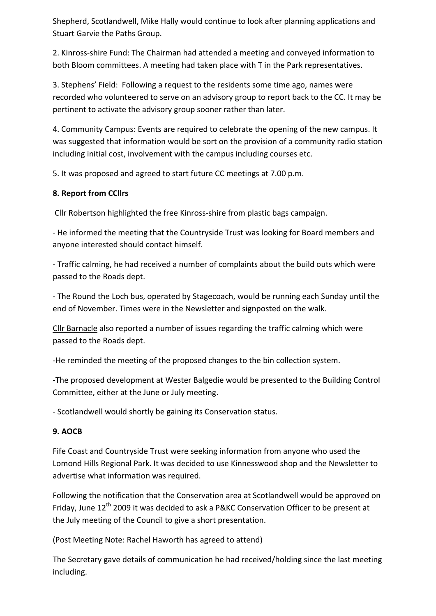Shepherd, Scotlandwell, Mike Hally would continue to look after planning applications and Stuart Garvie the Paths Group.

2. Kinross‐shire Fund: The Chairman had attended a meeting and conveyed information to both Bloom committees. A meeting had taken place with T in the Park representatives.

3. Stephens' Field: Following a request to the residents some time ago, names were recorded who volunteered to serve on an advisory group to report back to the CC. It may be pertinent to activate the advisory group sooner rather than later.

4. Community Campus: Events are required to celebrate the opening of the new campus. It was suggested that information would be sort on the provision of a community radio station including initial cost, involvement with the campus including courses etc.

5. It was proposed and agreed to start future CC meetings at 7.00 p.m.

## **8. Report from CCllrs**

Cllr Robertson highlighted the free Kinross‐shire from plastic bags campaign.

‐ He informed the meeting that the Countryside Trust was looking for Board members and anyone interested should contact himself.

‐ Traffic calming, he had received a number of complaints about the build outs which were passed to the Roads dept.

‐ The Round the Loch bus, operated by Stagecoach, would be running each Sunday until the end of November. Times were in the Newsletter and signposted on the walk.

Cllr Barnacle also reported a number of issues regarding the traffic calming which were passed to the Roads dept.

‐He reminded the meeting of the proposed changes to the bin collection system.

‐The proposed development at Wester Balgedie would be presented to the Building Control Committee, either at the June or July meeting.

‐ Scotlandwell would shortly be gaining its Conservation status.

# **9. AOCB**

Fife Coast and Countryside Trust were seeking information from anyone who used the Lomond Hills Regional Park. It was decided to use Kinnesswood shop and the Newsletter to advertise what information was required.

Following the notification that the Conservation area at Scotlandwell would be approved on Friday, June 12<sup>th</sup> 2009 it was decided to ask a P&KC Conservation Officer to be present at the July meeting of the Council to give a short presentation.

(Post Meeting Note: Rachel Haworth has agreed to attend)

The Secretary gave details of communication he had received/holding since the last meeting including.